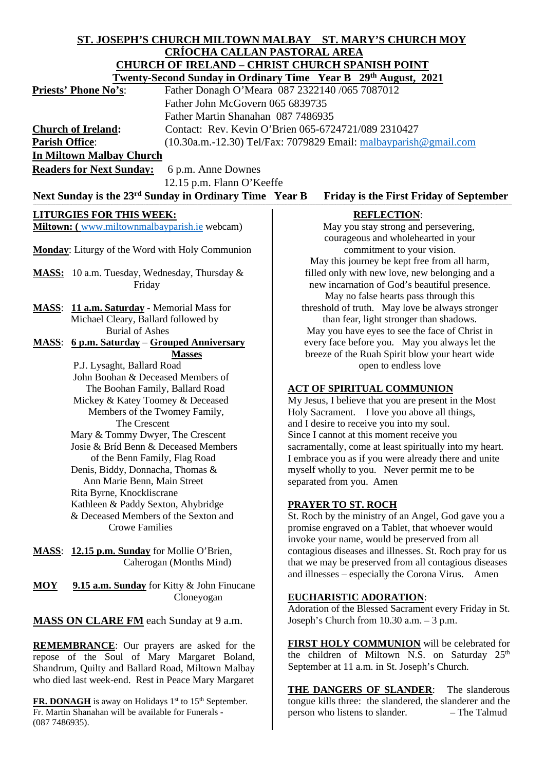# **ST. JOSEPH'S CHURCH MILTOWN MALBAY ST. MARY'S CHURCH MOY CRÍOCHA CALLAN PASTORAL AREA CHURCH OF IRELAND – CHRIST CHURCH SPANISH POINT**

| <b>Twenty-Second Sunday in Ordinary Time Year B</b> 29 <sup>th</sup> August, 2021                                    |                                                                                   |
|----------------------------------------------------------------------------------------------------------------------|-----------------------------------------------------------------------------------|
| Father Donagh O'Meara 087 2322140 /065 7087012<br><b>Priests' Phone No's:</b>                                        |                                                                                   |
| Father John McGovern 065 6839735                                                                                     |                                                                                   |
| Father Martin Shanahan 087 7486935                                                                                   |                                                                                   |
| <b>Church of Ireland:</b><br>Contact: Rev. Kevin O'Brien 065-6724721/089 2310427                                     |                                                                                   |
| <b>Parish Office:</b><br>$(10.30a.m.-12.30)$ Tel/Fax: 7079829 Email: malbayparish @gmail.com                         |                                                                                   |
| <b>In Miltown Malbay Church</b>                                                                                      |                                                                                   |
| <b>Readers for Next Sunday:</b><br>6 p.m. Anne Downes                                                                |                                                                                   |
|                                                                                                                      |                                                                                   |
| 12.15 p.m. Flann O'Keeffe                                                                                            |                                                                                   |
| Next Sunday is the 23 <sup>rd</sup> Sunday in Ordinary Time Year B<br><b>Friday is the First Friday of September</b> |                                                                                   |
| <b>LITURGIES FOR THIS WEEK:</b>                                                                                      | <b>REFLECTION:</b>                                                                |
| Miltown: (www.miltownmalbayparish.ie webcam)                                                                         | May you stay strong and persevering,                                              |
|                                                                                                                      | courageous and wholehearted in your                                               |
| Monday: Liturgy of the Word with Holy Communion                                                                      | commitment to your vision.                                                        |
|                                                                                                                      | May this journey be kept free from all harm,                                      |
| <b>MASS:</b> 10 a.m. Tuesday, Wednesday, Thursday &                                                                  | filled only with new love, new belonging and a                                    |
| Friday                                                                                                               | new incarnation of God's beautiful presence.                                      |
|                                                                                                                      | May no false hearts pass through this                                             |
| MASS: 11 a.m. Saturday - Memorial Mass for                                                                           | threshold of truth. May love be always stronger                                   |
| Michael Cleary, Ballard followed by                                                                                  | than fear, light stronger than shadows.                                           |
| <b>Burial of Ashes</b>                                                                                               | May you have eyes to see the face of Christ in                                    |
| <u> 6 p.m. Saturday – Grouped Anniversary</u><br><b>MASS:</b>                                                        | every face before you. May you always let the                                     |
| <b>Masses</b>                                                                                                        | breeze of the Ruah Spirit blow your heart wide                                    |
| P.J. Lysaght, Ballard Road                                                                                           | open to endless love                                                              |
| John Boohan & Deceased Members of                                                                                    |                                                                                   |
| The Boohan Family, Ballard Road                                                                                      | <b>ACT OF SPIRITUAL COMMUNION</b>                                                 |
| Mickey & Katey Toomey & Deceased                                                                                     | My Jesus, I believe that you are present in the Most                              |
| Members of the Twomey Family,                                                                                        | Holy Sacrament. I love you above all things,                                      |
| The Crescent                                                                                                         | and I desire to receive you into my soul.                                         |
| Mary & Tommy Dwyer, The Crescent                                                                                     | Since I cannot at this moment receive you                                         |
| Josie & Bríd Benn & Deceased Members                                                                                 | sacramentally, come at least spiritually into my heart.                           |
| of the Benn Family, Flag Road                                                                                        | I embrace you as if you were already there and unite                              |
| Denis, Biddy, Donnacha, Thomas &                                                                                     | myself wholly to you. Never permit me to be                                       |
| Ann Marie Benn, Main Street                                                                                          | separated from you. Amen                                                          |
| Rita Byrne, Knockliscrane                                                                                            |                                                                                   |
| Kathleen & Paddy Sexton, Ahybridge<br>& Deceased Members of the Sexton and                                           | <b>PRAYER TO ST. ROCH</b><br>St. Roch by the ministry of an Angel, God gave you a |
| <b>Crowe Families</b>                                                                                                | promise engraved on a Tablet, that whoever would                                  |
|                                                                                                                      | invoke your name, would be preserved from all                                     |
| 12.15 p.m. Sunday for Mollie O'Brien,<br><b>MASS:</b>                                                                | contagious diseases and illnesses. St. Roch pray for us                           |
| Caherogan (Months Mind)                                                                                              | that we may be preserved from all contagious diseases                             |
|                                                                                                                      | and illnesses – especially the Corona Virus. Amen                                 |
| 9.15 a.m. Sunday for Kitty & John Finucane<br>MOY                                                                    |                                                                                   |

Cloneyogan

**MASS ON CLARE FM** each Sunday at 9 a.m.

**REMEMBRANCE**: Our prayers are asked for the repose of the Soul of Mary Margaret Boland, Shandrum, Quilty and Ballard Road, Miltown Malbay who died last week-end. Rest in Peace Mary Margaret

**FR. DONAGH** is away on Holidays 1<sup>st</sup> to 15<sup>th</sup> September. Fr. Martin Shanahan will be available for Funerals -

(087 7486935).

## **EUCHARISTIC ADORATION**:

Adoration of the Blessed Sacrament every Friday in St. Joseph's Church from 10.30 a.m. – 3 p.m.

**FIRST HOLY COMMUNION** will be celebrated for the children of Miltown N.S. on Saturday 25<sup>th</sup> September at 11 a.m. in St. Joseph's Church.

**THE DANGERS OF SLANDER**: The slanderous tongue kills three: the slandered, the slanderer and the person who listens to slander. – The Talmud